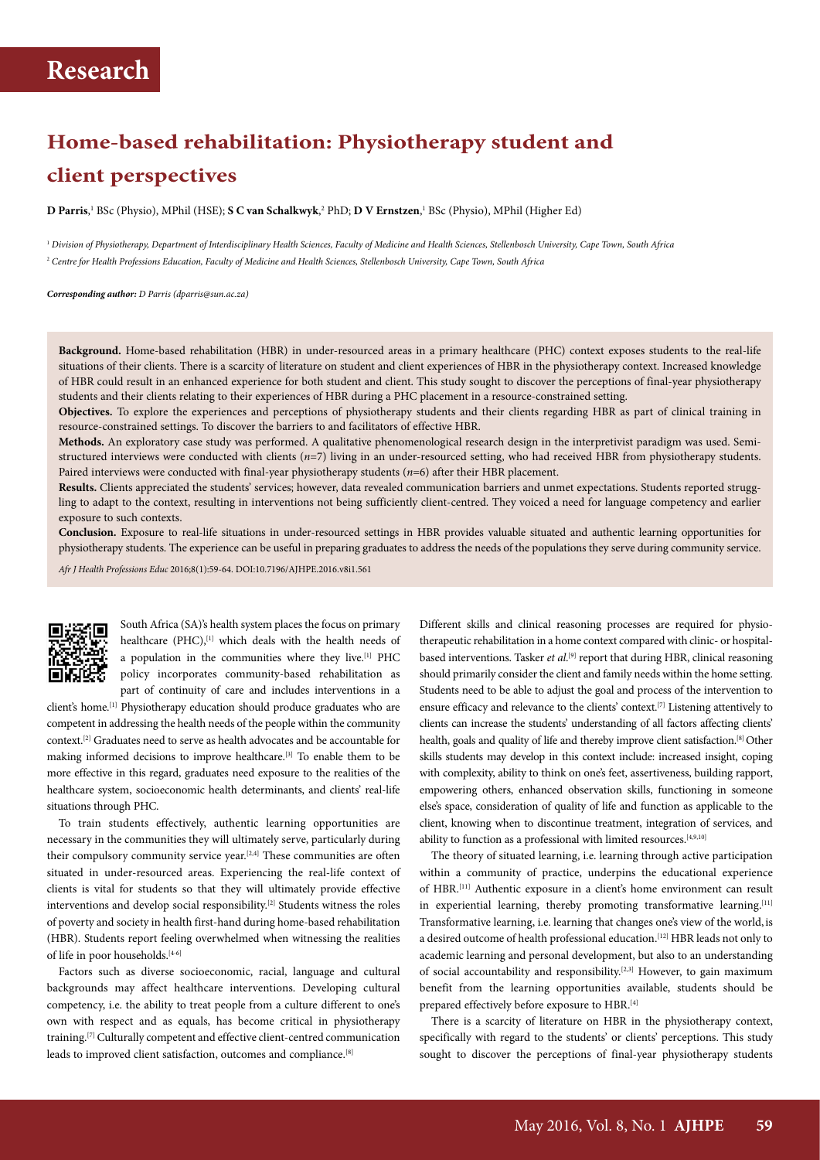# **Home-based rehabilitation: Physiotherapy student and client perspectives**

**D Parris**, 1 BSc (Physio), MPhil (HSE); **S C van Schalkwyk**, 2 PhD; **D V Ernstzen**, 1 BSc (Physio), MPhil (Higher Ed)

<sup>1</sup> *Division of Physiotherapy, Department of Interdisciplinary Health Sciences, Faculty of Medicine and Health Sciences, Stellenbosch University, Cape Town, South Africa*  <sup>2</sup> *Centre for Health Professions Education, Faculty of Medicine and Health Sciences, Stellenbosch University, Cape Town, South Africa* 

*Corresponding author: D Parris (dparris@sun.ac.za)*

**Background.** Home-based rehabilitation (HBR) in under-resourced areas in a primary healthcare (PHC) context exposes students to the real-life situations of their clients. There is a scarcity of literature on student and client experiences of HBR in the physiotherapy context. Increased knowledge of HBR could result in an enhanced experience for both student and client. This study sought to discover the perceptions of final-year physiotherapy students and their clients relating to their experiences of HBR during a PHC placement in a resource-constrained setting.

**Objectives.** To explore the experiences and perceptions of physiotherapy students and their clients regarding HBR as part of clinical training in resource-constrained settings. To discover the barriers to and facilitators of effective HBR.

**Methods.** An exploratory case study was performed. A qualitative phenomenological research design in the interpretivist paradigm was used. Semistructured interviews were conducted with clients (*n*=7) living in an under-resourced setting, who had received HBR from physiotherapy students. Paired interviews were conducted with final-year physiotherapy students (*n*=6) after their HBR placement.

**Results.** Clients appreciated the students' services; however, data revealed communication barriers and unmet expectations. Students reported struggling to adapt to the context, resulting in interventions not being sufficiently client-centred. They voiced a need for language competency and earlier exposure to such contexts.

**Conclusion.** Exposure to real-life situations in under-resourced settings in HBR provides valuable situated and authentic learning opportunities for physiotherapy students. The experience can be useful in preparing graduates to address the needs of the populations they serve during community service.

*Afr J Health Professions Educ* 2016;8(1):59-64. DOI:10.7196/AJHPE.2016.v8i1.561



South Africa (SA)'s health system places the focus on primary healthcare (PHC),<sup>[1]</sup> which deals with the health needs of a population in the communities where they live.[1] PHC policy incorporates community-based rehabilitation as part of continuity of care and includes interventions in a

client's home.<sup>[1]</sup> Physiotherapy education should produce graduates who are competent in addressing the health needs of the people within the community context.[2] Graduates need to serve as health advocates and be accountable for making informed decisions to improve healthcare.[3] To enable them to be more effective in this regard, graduates need exposure to the realities of the healthcare system, socioeconomic health determinants, and clients' real-life situations through PHC.

To train students effectively, authentic learning opportunities are necessary in the communities they will ultimately serve, particularly during their compulsory community service year.<sup>[2,4]</sup> These communities are often situated in under-resourced areas. Experiencing the real-life context of clients is vital for students so that they will ultimately provide effective interventions and develop social responsibility.[2] Students witness the roles of poverty and society in health first-hand during home-based rehabilitation (HBR). Students report feeling overwhelmed when witnessing the realities of life in poor households.[4-6]

Factors such as diverse socioeconomic, racial, language and cultural backgrounds may affect healthcare interventions. Developing cultural competency, i.e. the ability to treat people from a culture different to one's own with respect and as equals, has become critical in physiotherapy training.[7] Culturally competent and effective client-centred communication leads to improved client satisfaction, outcomes and compliance.[8]

Different skills and clinical reasoning processes are required for physiotherapeutic rehabilitation in a home context compared with clinic- or hospitalbased interventions. Tasker *et al*. [9] report that during HBR, clinical reasoning should primarily consider the client and family needs within the home setting. Students need to be able to adjust the goal and process of the intervention to ensure efficacy and relevance to the clients' context.[7] Listening attentively to clients can increase the students' understanding of all factors affecting clients' health, goals and quality of life and thereby improve client satisfaction.[8] Other skills students may develop in this context include: increased insight, coping with complexity, ability to think on one's feet, assertiveness, building rapport, empowering others, enhanced observation skills, functioning in someone else's space, consideration of quality of life and function as applicable to the client, knowing when to discontinue treatment, integration of services, and ability to function as a professional with limited resources.<sup>[4,9,10]</sup>

The theory of situated learning, i.e. learning through active participation within a community of practice, underpins the educational experience of HBR.[11] Authentic exposure in a client's home environment can result in experiential learning, thereby promoting transformative learning.<sup>[11]</sup> Transformative learning, i.e. learning that changes one's view of the world,is a desired outcome of health professional education.<sup>[12]</sup> HBR leads not only to academic learning and personal development, but also to an understanding of social accountability and responsibility.<sup>[2,3]</sup> However, to gain maximum benefit from the learning opportunities available, students should be prepared effectively before exposure to HBR.<sup>[4]</sup>

There is a scarcity of literature on HBR in the physiotherapy context, specifically with regard to the students' or clients' perceptions. This study sought to discover the perceptions of final-year physiotherapy students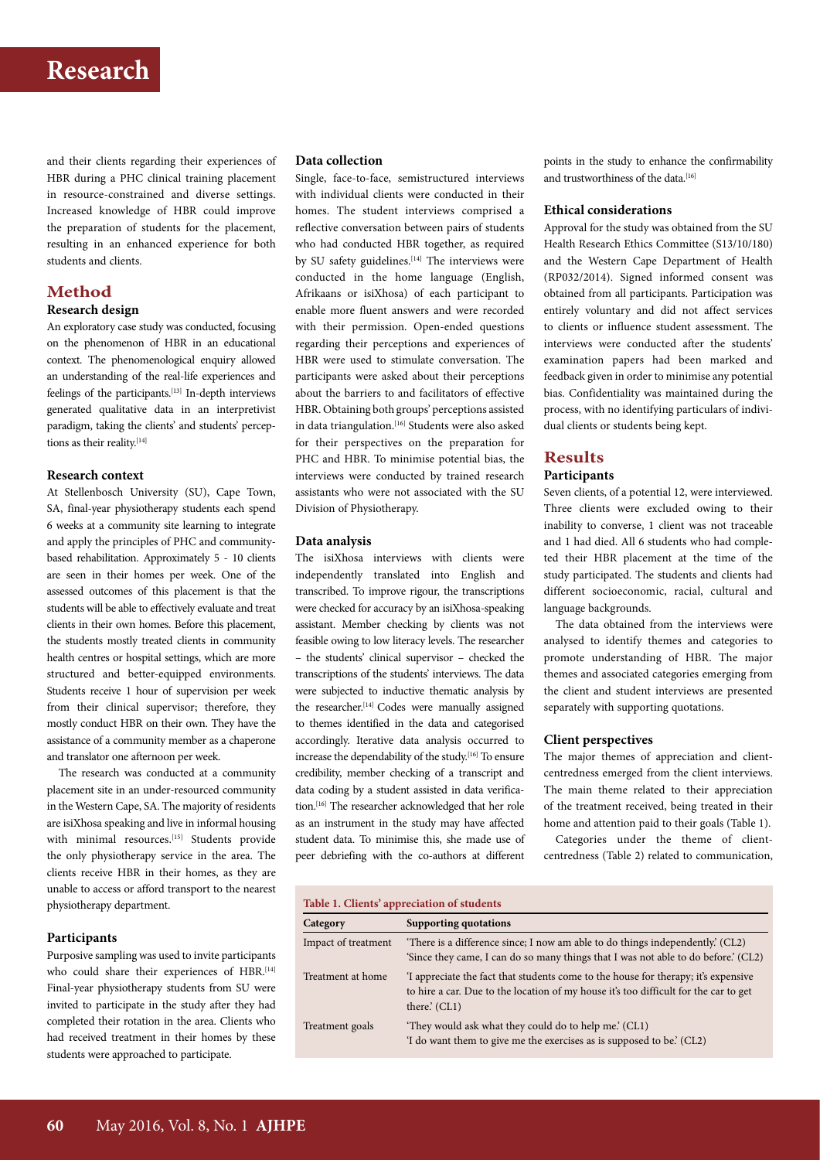and their clients regarding their experiences of HBR during a PHC clinical training placement in resource-constrained and diverse settings. Increased knowledge of HBR could improve the preparation of students for the placement, resulting in an enhanced experience for both students and clients.

### **Method**

### **Research design**

An exploratory case study was conducted, focusing on the phenomenon of HBR in an educational context. The phenomenological enquiry allowed an understanding of the real-life experiences and feelings of the participants.[13] In-depth interviews generated qualitative data in an interpretivist paradigm, taking the clients' and students' perceptions as their reality.<sup>[14]</sup>

### **Research context**

At Stellenbosch University (SU), Cape Town, SA, final-year physiotherapy students each spend 6 weeks at a community site learning to integrate and apply the principles of PHC and communitybased rehabilitation. Approximately 5 - 10 clients are seen in their homes per week. One of the assessed outcomes of this placement is that the students will be able to effectively evaluate and treat clients in their own homes. Before this placement, the students mostly treated clients in community health centres or hospital settings, which are more structured and better-equipped environments. Students receive 1 hour of supervision per week from their clinical supervisor; therefore, they mostly conduct HBR on their own. They have the assistance of a community member as a chaperone and translator one afternoon per week.

The research was conducted at a community placement site in an under-resourced community in the Western Cape, SA. The majority of residents are isiXhosa speaking and live in informal housing with minimal resources.<sup>[15]</sup> Students provide the only physiotherapy service in the area. The clients receive HBR in their homes, as they are unable to access or afford transport to the nearest physiotherapy department.

### **Participants**

Purposive sampling was used to invite participants who could share their experiences of HBR.<sup>[14]</sup> Final-year physiotherapy students from SU were invited to participate in the study after they had completed their rotation in the area. Clients who had received treatment in their homes by these students were approached to participate.

### **Data collection**

Single, face-to-face, semistructured interviews with individual clients were conducted in their homes. The student interviews comprised a reflective conversation between pairs of students who had conducted HBR together, as required by SU safety guidelines.<sup>[14]</sup> The interviews were conducted in the home language (English, Afrikaans or isiXhosa) of each participant to enable more fluent answers and were recorded with their permission. Open-ended questions regarding their perceptions and experiences of HBR were used to stimulate conversation. The participants were asked about their perceptions about the barriers to and facilitators of effective HBR. Obtaining both groups' perceptions assisted in data triangulation.<sup>[16]</sup> Students were also asked for their perspectives on the preparation for PHC and HBR. To minimise potential bias, the interviews were conducted by trained research assistants who were not associated with the SU Division of Physiotherapy.

### **Data analysis**

The isiXhosa interviews with clients were independently translated into English and transcribed. To improve rigour, the transcriptions were checked for accuracy by an isiXhosa-speaking assistant. Member checking by clients was not feasible owing to low literacy levels. The researcher – the students' clinical supervisor – checked the transcriptions of the students' interviews. The data were subjected to inductive thematic analysis by the researcher.<sup>[14]</sup> Codes were manually assigned to themes identified in the data and categorised accordingly. Iterative data analysis occurred to increase the dependability of the study.<sup>[16]</sup> To ensure credibility, member checking of a transcript and data coding by a student assisted in data verification.[16] The researcher acknowledged that her role as an instrument in the study may have affected student data. To minimise this, she made use of peer debriefing with the co-authors at different points in the study to enhance the confirmability and trustworthiness of the data.<sup>[16]</sup>

### **Ethical considerations**

Approval for the study was obtained from the SU Health Research Ethics Committee (S13/10/180) and the Western Cape Department of Health (RP032/2014). Signed informed consent was obtained from all participants. Participation was entirely voluntary and did not affect services to clients or influence student assessment. The interviews were conducted after the students' examination papers had been marked and feedback given in order to minimise any potential bias. Confidentiality was maintained during the process, with no identifying particulars of individual clients or students being kept.

## **Results**

### **Participants**

Seven clients, of a potential 12, were interviewed. Three clients were excluded owing to their inability to converse, 1 client was not traceable and 1 had died. All 6 students who had completed their HBR placement at the time of the study participated. The students and clients had different socioeconomic, racial, cultural and language backgrounds.

The data obtained from the interviews were analysed to identify themes and categories to promote understanding of HBR. The major themes and associated categories emerging from the client and student interviews are presented separately with supporting quotations.

### **Client perspectives**

The major themes of appreciation and clientcentredness emerged from the client interviews. The main theme related to their appreciation of the treatment received, being treated in their home and attention paid to their goals (Table 1).

Categories under the theme of clientcentredness (Table 2) related to communication,

### **Table 1. Clients' appreciation of students**

| rable 1. Chemo appreciation of stadents |                                                                                                                                                                                             |  |
|-----------------------------------------|---------------------------------------------------------------------------------------------------------------------------------------------------------------------------------------------|--|
| Category                                | <b>Supporting quotations</b>                                                                                                                                                                |  |
| Impact of treatment                     | 'There is a difference since; I now am able to do things independently.' (CL2)<br>'Since they came, I can do so many things that I was not able to do before.' (CL2)                        |  |
| Treatment at home                       | 'I appreciate the fact that students come to the house for therapy; it's expensive<br>to hire a car. Due to the location of my house it's too difficult for the car to get<br>there. $CL1)$ |  |
| Treatment goals                         | 'They would ask what they could do to help me' (CL1)<br>'I do want them to give me the exercises as is supposed to be.' (CL2)                                                               |  |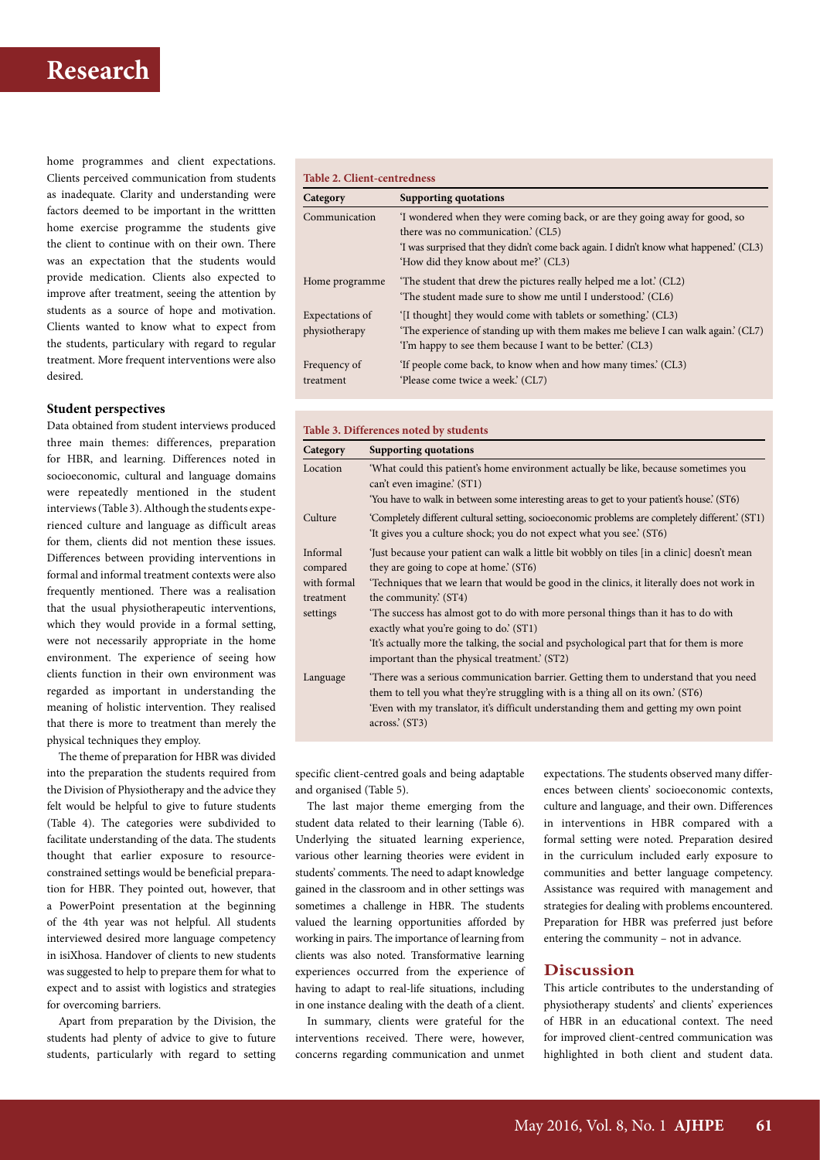home programmes and client expectations. Clients perceived communication from students as inadequate. Clarity and understanding were factors deemed to be important in the writtten home exercise programme the students give the client to continue with on their own. There was an expectation that the students would provide medication. Clients also expected to improve after treatment, seeing the attention by students as a source of hope and motivation. Clients wanted to know what to expect from the students, particulary with regard to regular treatment. More frequent interventions were also desired.

### **Student perspectives**

Data obtained from student interviews produced three main themes: differences, preparation for HBR, and learning. Differences noted in socioeconomic, cultural and language domains were repeatedly mentioned in the student interviews (Table 3). Although the students experienced culture and language as difficult areas for them, clients did not mention these issues. Differences between providing interventions in formal and informal treatment contexts were also frequently mentioned. There was a realisation that the usual physiotherapeutic interventions, which they would provide in a formal setting, were not necessarily appropriate in the home environment. The experience of seeing how clients function in their own environment was regarded as important in understanding the meaning of holistic intervention. They realised that there is more to treatment than merely the physical techniques they employ.

The theme of preparation for HBR was divided into the preparation the students required from the Division of Physiotherapy and the advice they felt would be helpful to give to future students (Table 4). The categories were subdivided to facilitate understanding of the data. The students thought that earlier exposure to resourceconstrained settings would be beneficial preparation for HBR. They pointed out, however, that a PowerPoint presentation at the beginning of the 4th year was not helpful. All students interviewed desired more language competency in isiXhosa. Handover of clients to new students was suggested to help to prepare them for what to expect and to assist with logistics and strategies for overcoming barriers.

Apart from preparation by the Division, the students had plenty of advice to give to future students, particularly with regard to setting

| <b>Table 2. Client-centredness</b> |                                                                                                                                                                                                                                                   |  |  |
|------------------------------------|---------------------------------------------------------------------------------------------------------------------------------------------------------------------------------------------------------------------------------------------------|--|--|
| Category                           | <b>Supporting quotations</b>                                                                                                                                                                                                                      |  |  |
| Communication                      | I wondered when they were coming back, or are they going away for good, so<br>there was no communication.' (CL5)<br>'I was surprised that they didn't come back again. I didn't know what happened.' (CL3)<br>'How did they know about me?' (CL3) |  |  |
| Home programme                     | 'The student that drew the pictures really helped me a lot.' (CL2)<br>'The student made sure to show me until I understood' (CL6)                                                                                                                 |  |  |
| Expectations of<br>physiotherapy   | '[I thought] they would come with tablets or something.' (CL3)<br>'The experience of standing up with them makes me believe I can walk again.' (CL7)<br>T'm happy to see them because I want to be better. (CL3)                                  |  |  |
| Frequency of<br>treatment          | 'If people come back, to know when and how many times.' (CL3)<br>'Please come twice a week'. (CL7)                                                                                                                                                |  |  |

### **Table 3. Differences noted by students**

| Category                 | <b>Supporting quotations</b>                                                                                                                                                                                                                                                   |
|--------------------------|--------------------------------------------------------------------------------------------------------------------------------------------------------------------------------------------------------------------------------------------------------------------------------|
| Location                 | What could this patient's home environment actually be like, because sometimes you<br>can't even imagine.' (ST1)<br>You have to walk in between some interesting areas to get to your patient's house. (ST6)                                                                   |
| Culture                  | Completely different cultural setting, socioeconomic problems are completely different. (ST1)<br>'It gives you a culture shock; you do not expect what you see.' (ST6)                                                                                                         |
| Informal<br>compared     | 'Just because your patient can walk a little bit wobbly on tiles [in a clinic] doesn't mean<br>they are going to cope at home. (ST6)                                                                                                                                           |
| with formal<br>treatment | Techniques that we learn that would be good in the clinics, it literally does not work in<br>the community. (ST4)                                                                                                                                                              |
| settings                 | 'The success has almost got to do with more personal things than it has to do with<br>exactly what you're going to do.' (ST1)                                                                                                                                                  |
|                          | It's actually more the talking, the social and psychological part that for them is more<br>important than the physical treatment. (ST2)                                                                                                                                        |
| Language                 | There was a serious communication barrier. Getting them to understand that you need<br>them to tell you what they're struggling with is a thing all on its own.' (ST6)<br>Even with my translator, it's difficult understanding them and getting my own point<br>across. (ST3) |

specific client-centred goals and being adaptable and organised (Table 5).

The last major theme emerging from the student data related to their learning (Table 6). Underlying the situated learning experience, various other learning theories were evident in students' comments. The need to adapt knowledge gained in the classroom and in other settings was sometimes a challenge in HBR. The students valued the learning opportunities afforded by working in pairs. The importance of learning from clients was also noted. Transformative learning experiences occurred from the experience of having to adapt to real-life situations, including in one instance dealing with the death of a client.

In summary, clients were grateful for the interventions received. There were, however, concerns regarding communication and unmet

expectations. The students observed many differences between clients' socioeconomic contexts, culture and language, and their own. Differences in interventions in HBR compared with a formal setting were noted. Preparation desired in the curriculum included early exposure to communities and better language competency. Assistance was required with management and strategies for dealing with problems encountered. Preparation for HBR was preferred just before entering the community – not in advance.

### **Discussion**

This article contributes to the understanding of physiotherapy students' and clients' experiences of HBR in an educational context. The need for improved client-centred communication was highlighted in both client and student data.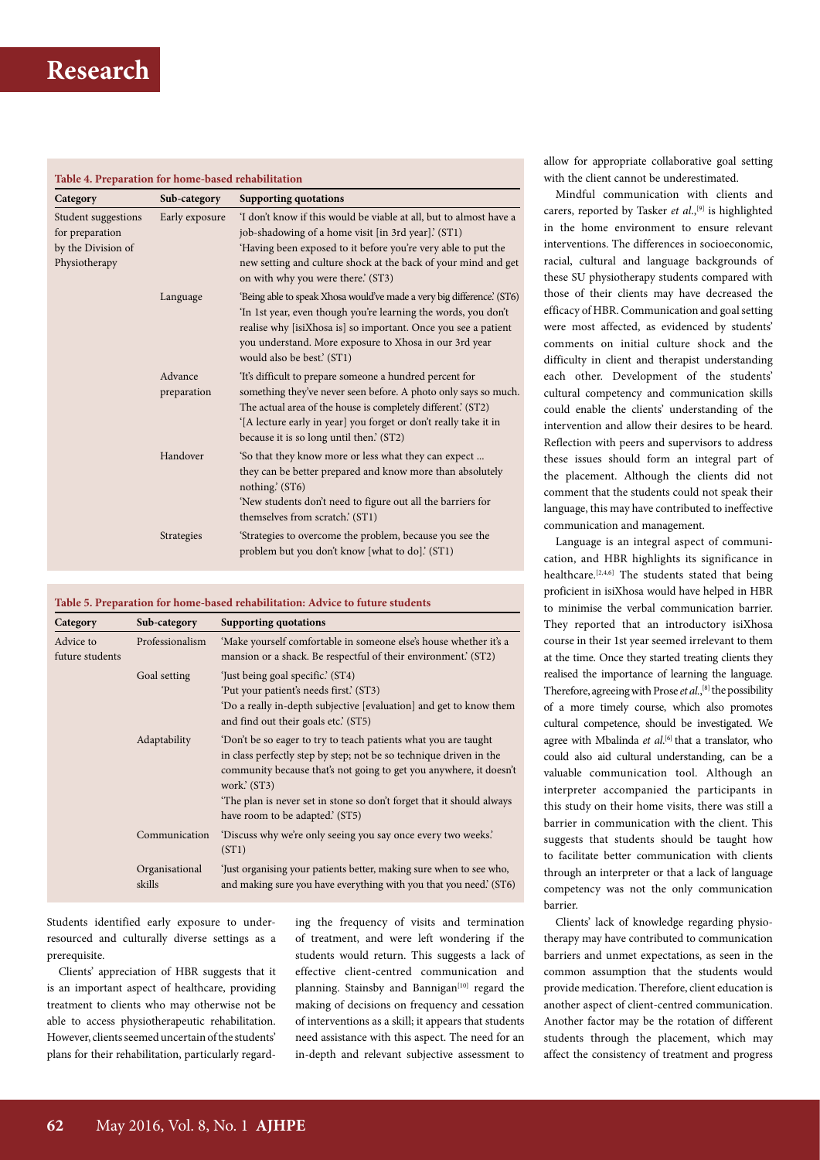| Table 4. Preparation for home-based rehabilitation<br>Category                | Sub-category           | <b>Supporting quotations</b>                                                                                                                                                                                                                                                                               |
|-------------------------------------------------------------------------------|------------------------|------------------------------------------------------------------------------------------------------------------------------------------------------------------------------------------------------------------------------------------------------------------------------------------------------------|
| Student suggestions<br>for preparation<br>by the Division of<br>Physiotherapy | Early exposure         | 'I don't know if this would be viable at all, but to almost have a<br>job-shadowing of a home visit [in 3rd year]. (ST1)<br>'Having been exposed to it before you're very able to put the<br>new setting and culture shock at the back of your mind and get<br>on with why you were there.' (ST3)          |
|                                                                               | Language               | 'Being able to speak Xhosa would've made a very big difference.' (ST6)<br>'In 1st year, even though you're learning the words, you don't<br>realise why [isiXhosa is] so important. Once you see a patient<br>you understand. More exposure to Xhosa in our 3rd year<br>would also be best.' (ST1)         |
|                                                                               | Advance<br>preparation | 'It's difficult to prepare someone a hundred percent for<br>something they've never seen before. A photo only says so much.<br>The actual area of the house is completely different. (ST2)<br>'[A lecture early in year] you forget or don't really take it in<br>because it is so long until then.' (ST2) |
|                                                                               | Handover               | 'So that they know more or less what they can expect<br>they can be better prepared and know more than absolutely<br>nothing.' (ST6)<br>'New students don't need to figure out all the barriers for<br>themselves from scratch.' (ST1)                                                                     |
|                                                                               | <b>Strategies</b>      | Strategies to overcome the problem, because you see the<br>problem but you don't know [what to do].' (ST1)                                                                                                                                                                                                 |

### **Table 5. Preparation for home-based rehabilitation: Advice to future students**

| Category                     | Sub-category             | <b>Supporting quotations</b>                                                                                                                                                                                                                                                                                                          |
|------------------------------|--------------------------|---------------------------------------------------------------------------------------------------------------------------------------------------------------------------------------------------------------------------------------------------------------------------------------------------------------------------------------|
| Advice to<br>future students | Professionalism          | 'Make yourself comfortable in someone else's house whether it's a<br>mansion or a shack. Be respectful of their environment. (ST2)                                                                                                                                                                                                    |
|                              | Goal setting             | 'Just being goal specific.' (ST4)<br>'Put your patient's needs first.' (ST3)<br>'Do a really in-depth subjective [evaluation] and get to know them<br>and find out their goals etc. (ST5)                                                                                                                                             |
|                              | Adaptability             | 'Don't be so eager to try to teach patients what you are taught<br>in class perfectly step by step; not be so technique driven in the<br>community because that's not going to get you anywhere, it doesn't<br>work. (ST3)<br>The plan is never set in stone so don't forget that it should always<br>have room to be adapted.' (ST5) |
|                              | Communication            | 'Discuss why we're only seeing you say once every two weeks.'<br>(ST1)                                                                                                                                                                                                                                                                |
|                              | Organisational<br>skills | 'Just organising your patients better, making sure when to see who,<br>and making sure you have everything with you that you need. (ST6)                                                                                                                                                                                              |

Students identified early exposure to underresourced and culturally diverse settings as a prerequisite.

Clients' appreciation of HBR suggests that it is an important aspect of healthcare, providing treatment to clients who may otherwise not be able to access physiotherapeutic rehabilitation. However, clients seemed uncertain of the students' plans for their rehabilitation, particularly regarding the frequency of visits and termination of treatment, and were left wondering if the students would return. This suggests a lack of effective client-centred communication and planning. Stainsby and Bannigan<sup>[10]</sup> regard the making of decisions on frequency and cessation of interventions as a skill; it appears that students need assistance with this aspect. The need for an in-depth and relevant subjective assessment to

allow for appropriate collaborative goal setting with the client cannot be underestimated.

Mindful communication with clients and carers, reported by Tasker et al.,<sup>[9]</sup> is highlighted in the home environment to ensure relevant interventions. The differences in socioeconomic, racial, cultural and language backgrounds of these SU physiotherapy students compared with those of their clients may have decreased the efficacy of HBR. Communication and goal setting were most affected, as evidenced by students' comments on initial culture shock and the difficulty in client and therapist understanding each other. Development of the students' cultural competency and communication skills could enable the clients' understanding of the intervention and allow their desires to be heard. Reflection with peers and supervisors to address these issues should form an integral part of the placement. Although the clients did not comment that the students could not speak their language, this may have contributed to ineffective communication and management.

Language is an integral aspect of communication, and HBR highlights its significance in healthcare.[2,4,6] The students stated that being proficient in isiXhosa would have helped in HBR to minimise the verbal communication barrier. They reported that an introductory isiXhosa course in their 1st year seemed irrelevant to them at the time. Once they started treating clients they realised the importance of learning the language. Therefore, agreeing with Prose *et al.*, [8] the possibility of a more timely course, which also promotes cultural competence, should be investigated. We agree with Mbalinda et al.<sup>[6]</sup> that a translator, who could also aid cultural understanding, can be a valuable communication tool. Although an interpreter accompanied the participants in this study on their home visits, there was still a barrier in communication with the client. This suggests that students should be taught how to facilitate better communication with clients through an interpreter or that a lack of language competency was not the only communication barrier.

Clients' lack of knowledge regarding physiotherapy may have contributed to communication barriers and unmet expectations, as seen in the common assumption that the students would provide medication. Therefore, client education is another aspect of client-centred communication. Another factor may be the rotation of different students through the placement, which may affect the consistency of treatment and progress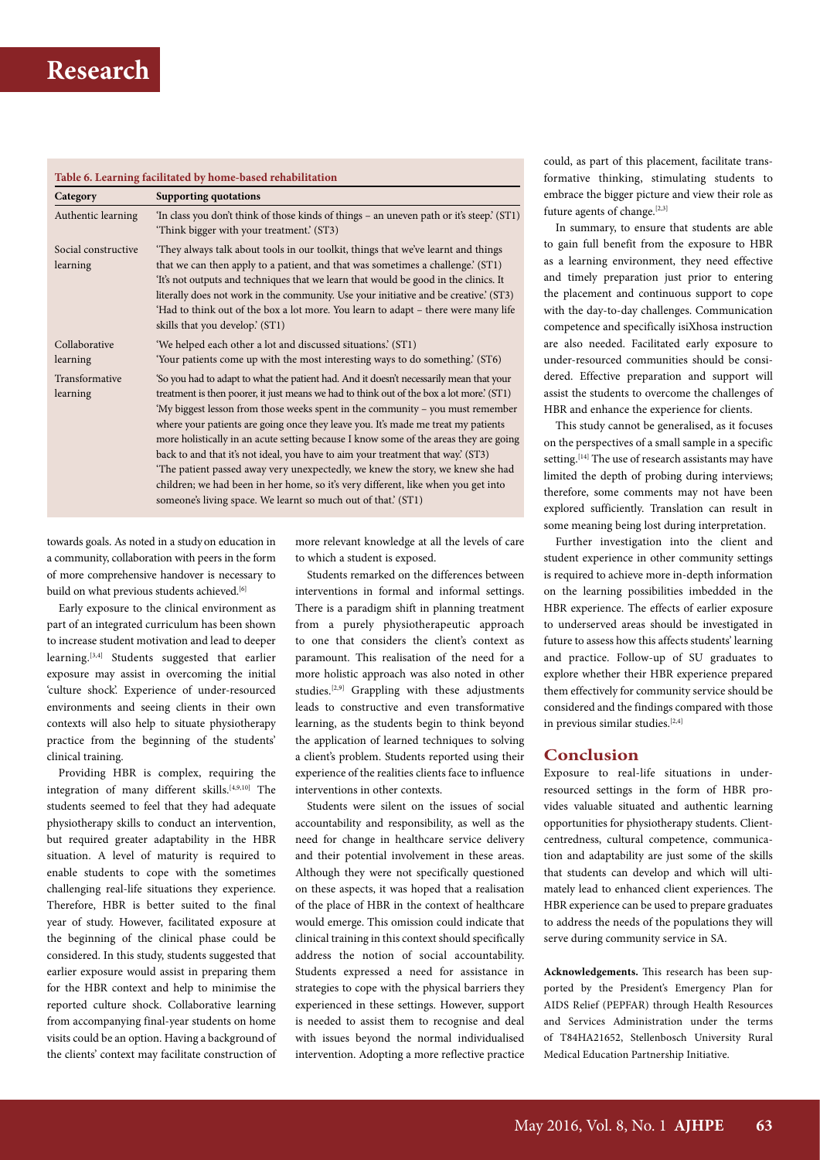#### **Table 6. Learning facilitated by home-based rehabilitation**

| Category                        | <b>Supporting quotations</b>                                                                                                                                                                                                                                                                                                                                                                                                                                                                                                                                                                                                                                                                                                                                                  |
|---------------------------------|-------------------------------------------------------------------------------------------------------------------------------------------------------------------------------------------------------------------------------------------------------------------------------------------------------------------------------------------------------------------------------------------------------------------------------------------------------------------------------------------------------------------------------------------------------------------------------------------------------------------------------------------------------------------------------------------------------------------------------------------------------------------------------|
| Authentic learning              | 'In class you don't think of those kinds of things – an uneven path or it's steep.' (ST1)<br>'Think bigger with your treatment.' (ST3)                                                                                                                                                                                                                                                                                                                                                                                                                                                                                                                                                                                                                                        |
| Social constructive<br>learning | 'They always talk about tools in our toolkit, things that we've learnt and things<br>that we can then apply to a patient, and that was sometimes a challenge. (ST1)<br>It's not outputs and techniques that we learn that would be good in the clinics. It<br>literally does not work in the community. Use your initiative and be creative. (ST3)<br>'Had to think out of the box a lot more. You learn to adapt - there were many life<br>skills that you develop.' (ST1)                                                                                                                                                                                                                                                                                                   |
| Collaborative<br>learning       | 'We helped each other a lot and discussed situations.' (ST1)<br>Your patients come up with the most interesting ways to do something. (ST6)                                                                                                                                                                                                                                                                                                                                                                                                                                                                                                                                                                                                                                   |
| Transformative<br>learning      | So you had to adapt to what the patient had. And it doesn't necessarily mean that your<br>treatment is then poorer, it just means we had to think out of the box a lot more.' (ST1)<br>'My biggest lesson from those weeks spent in the community - you must remember<br>where your patients are going once they leave you. It's made me treat my patients<br>more holistically in an acute setting because I know some of the areas they are going<br>back to and that it's not ideal, you have to aim your treatment that way. (ST3)<br>The patient passed away very unexpectedly, we knew the story, we knew she had<br>children; we had been in her home, so it's very different, like when you get into<br>someone's living space. We learnt so much out of that.' (ST1) |

towards goals. As noted in a studyon education in a community, collaboration with peers in the form of more comprehensive handover is necessary to build on what previous students achieved.<sup>[6]</sup>

Early exposure to the clinical environment as part of an integrated curriculum has been shown to increase student motivation and lead to deeper learning.[3,4] Students suggested that earlier exposure may assist in overcoming the initial 'culture shock'. Experience of under-resourced environments and seeing clients in their own contexts will also help to situate physiotherapy practice from the beginning of the students' clinical training.

Providing HBR is complex, requiring the integration of many different skills.<sup>[4,9,10]</sup> The students seemed to feel that they had adequate physiotherapy skills to conduct an intervention, but required greater adaptability in the HBR situation. A level of maturity is required to enable students to cope with the sometimes challenging real-life situations they experience. Therefore, HBR is better suited to the final year of study. However, facilitated exposure at the beginning of the clinical phase could be considered. In this study, students suggested that earlier exposure would assist in preparing them for the HBR context and help to minimise the reported culture shock. Collaborative learning from accompanying final-year students on home visits could be an option. Having a background of the clients' context may facilitate construction of more relevant knowledge at all the levels of care to which a student is exposed.

Students remarked on the differences between interventions in formal and informal settings. There is a paradigm shift in planning treatment from a purely physiotherapeutic approach to one that considers the client's context as paramount. This realisation of the need for a more holistic approach was also noted in other studies.[2,9] Grappling with these adjustments leads to constructive and even transformative learning, as the students begin to think beyond the application of learned techniques to solving a client's problem. Students reported using their experience of the realities clients face to influence interventions in other contexts.

Students were silent on the issues of social accountability and responsibility, as well as the need for change in healthcare service delivery and their potential involvement in these areas. Although they were not specifically questioned on these aspects, it was hoped that a realisation of the place of HBR in the context of healthcare would emerge. This omission could indicate that clinical training in this context should specifically address the notion of social accountability. Students expressed a need for assistance in strategies to cope with the physical barriers they experienced in these settings. However, support is needed to assist them to recognise and deal with issues beyond the normal individualised intervention. Adopting a more reflective practice

could, as part of this placement, facilitate transformative thinking, stimulating students to embrace the bigger picture and view their role as future agents of change.<sup>[2,3]</sup>

In summary, to ensure that students are able to gain full benefit from the exposure to HBR as a learning environment, they need effective and timely preparation just prior to entering the placement and continuous support to cope with the day-to-day challenges. Communication competence and specifically isiXhosa instruction are also needed. Facilitated early exposure to under-resourced communities should be considered. Effective preparation and support will assist the students to overcome the challenges of HBR and enhance the experience for clients.

This study cannot be generalised, as it focuses on the perspectives of a small sample in a specific setting.<sup>[14]</sup> The use of research assistants may have limited the depth of probing during interviews; therefore, some comments may not have been explored sufficiently. Translation can result in some meaning being lost during interpretation.

Further investigation into the client and student experience in other community settings is required to achieve more in-depth information on the learning possibilities imbedded in the HBR experience. The effects of earlier exposure to underserved areas should be investigated in future to assess how this affects students' learning and practice. Follow-up of SU graduates to explore whether their HBR experience prepared them effectively for community service should be considered and the findings compared with those in previous similar studies.[2,4]

### **Conclusion**

Exposure to real-life situations in underresourced settings in the form of HBR provides valuable situated and authentic learning opportunities for physiotherapy students. Clientcentredness, cultural competence, communication and adaptability are just some of the skills that students can develop and which will ultimately lead to enhanced client experiences. The HBR experience can be used to prepare graduates to address the needs of the populations they will serve during community service in SA.

**Acknowledgements.** This research has been supported by the President's Emergency Plan for AIDS Relief (PEPFAR) through Health Resources and Services Administration under the terms of T84HA21652, Stellenbosch University Rural Medical Education Partnership Initiative.